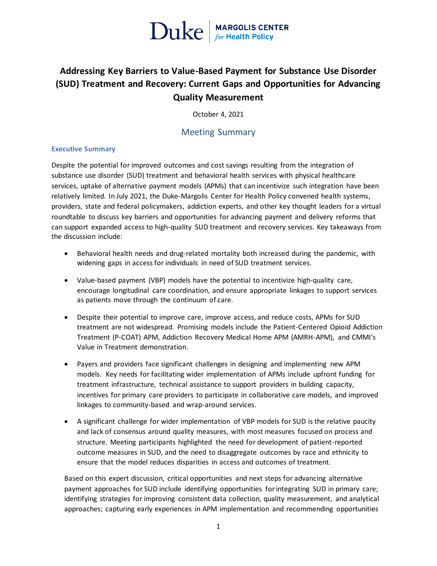

### **Addressing Key Barriers to Value-Based Payment for Substance Use Disorder (SUD) Treatment and Recovery: Current Gaps and Opportunities for Advancing Quality Measurement**

October 4, 2021

### Meeting Summary

### **Executive Summary**

Despite the potential for improved outcomes and cost savings resulting from the integration of substance use disorder (SUD) treatment and behavioral health services with physical healthcare services, uptake of alternative payment models (APMs) that can incentivize such integration have been relatively limited. In July 2021, the Duke-Margolis Center for Health Policy convened health systems, providers, state and federal policymakers, addiction experts, and other key thought leaders for a virtual roundtable to discuss key barriers and opportunities for advancing payment and delivery reforms that can support expanded access to high-quality SUD treatment and recovery services. Key takeaways from the discussion include:

- Behavioral health needs and drug-related mortality both increased during the pandemic, with widening gaps in access for individuals in need of SUD treatment services.
- Value-based payment (VBP) models have the potential to incentivize high-quality care, encourage longitudinal care coordination, and ensure appropriate linkages to support services as patients move through the continuum of care.
- Despite their potential to improve care, improve access, and reduce costs, APMs for SUD treatment are not widespread. Promising models include the Patient-Centered Opioid Addiction Treatment (P-COAT) APM, Addiction Recovery Medical Home APM (AMRH-APM), and CMMI's Value in Treatment demonstration.
- Payers and providers face significant challenges in designing and implementing new APM models. Key needs for facilitating wider implementation of APMs include upfront funding for treatment infrastructure, technical assistance to support providers in building capacity, incentives for primary care providers to participate in collaborative care models, and improved linkages to community-based and wrap-around services.
- A significant challenge for wider implementation of VBP models for SUD is the relative paucity and lack of consensus around quality measures, with most measures focused on process and structure. Meeting participants highlighted the need for development of patient-reported outcome measures in SUD, and the need to disaggregate outcomes by race and ethnicity to ensure that the model reduces disparities in access and outcomes of treatment.

Based on this expert discussion, critical opportunities and next steps for advancing alternative payment approaches for SUD include identifying opportunities for integrating SUD in primary care; identifying strategies for improving consistent data collection, quality measurement, and analytical approaches; capturing early experiences in APM implementation and recommending opportunities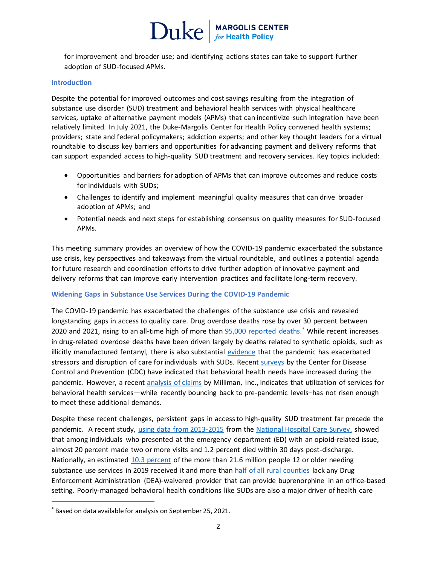### $\text{Duke}$  MARGOLIS CENTER

for improvement and broader use; and identifying actions states can take to support further adoption of SUD-focused APMs.

#### **Introduction**

Despite the potential for improved outcomes and cost savings resulting from the integration of substance use disorder (SUD) treatment and behavioral health services with physical healthcare services, uptake of alternative payment models (APMs) that can incentivize such integration have been relatively limited. In July 2021, the Duke-Margolis Center for Health Policy convened health systems; providers; state and federal policymakers; addiction experts; and other key thought leaders for a virtual roundtable to discuss key barriers and opportunities for advancing payment and delivery reforms that can support expanded access to high-quality SUD treatment and recovery services. Key topics included:

- Opportunities and barriers for adoption of APMs that can improve outcomes and reduce costs for individuals with SUDs;
- Challenges to identify and implement meaningful quality measures that can drive broader adoption of APMs; and
- Potential needs and next steps for establishing consensus on quality measures for SUD-focused APMs.

This meeting summary provides an overview of how the COVID-19 pandemic exacerbated the substance use crisis, key perspectives and takeaways from the virtual roundtable, and outlines a potential agenda for future research and coordination efforts to drive further adoption of innovative payment and delivery reforms that can improve early intervention practices and facilitate long-term recovery.

### **Widening Gaps in Substance Use Services During the COVID-19 Pandemic**

The COVID-19 pandemic has exacerbated the challenges of the substance use crisis and revealed longstanding gaps in access to quality care. Drug overdose deaths rose by over 30 percent between 2020 and 2021, rising to an all-time high of more than **95,000** reported deaths.<sup>\*</sup> While recent increases in drug-related overdose deaths have been driven largely by deaths related to synthetic opioids, such as illicitly manufactured fentanyl, there is also substantial [evidence](http://publichealth.lacounty.gov/sapc/MDU/SpecialReport/AccidentalDrugOverdoseReport.pdf) that the pandemic has exacerbated stressors and disruption of care forindividuals with SUDs. Recent [surveys](https://www.cdc.gov/mmwr/volumes/69/wr/pdfs/mm6932a1-H.pdf) by the Center for Disease Control and Prevention (CDC) have indicated that behavioral health needs have increased during the pandemic. However, a recent [analysis of claims](https://wellbeingtrust.org/news/new-milliman-report-highlights-mental-health-care-utilization-during-covid-19-pandemic/) by Milliman, Inc., indicates that utilization of services for behavioral health services—while recently bouncing back to pre-pandemic levels–has not risen enough to meet these additional demands.

Despite these recent challenges, persistent gaps in access to high-quality SUD treatment far precede the pandemic. A recent study, using data from 2013-2015 from th[e National Hospital Care Survey,](https://www.cdc.gov/nchs/data/nhsr/nhsr149-508.pdf) showed that among individuals who presented at the emergency department (ED) with an opioid-related issue, almost 20 percent made two or more visits and 1.2 percent died within 30 days post-discharge. Nationally, an estimated [10.3 percent](https://www.samhsa.gov/data/sites/default/files/reports/rpt29393/2019NSDUHFFRPDFWHTML/2019NSDUHFFR1PDFW090120.pdf) of the more than 21.6 million people 12 or older needing substance use services in 2019 received it and more than [half of all rural counties](https://onlinelibrary.wiley.com/doi/abs/10.1111/jrh.12307) lack any Drug Enforcement Administration (DEA)-waivered provider that can provide buprenorphine in an office-based setting. Poorly-managed behavioral health conditions like SUDs are also a major driver of health care

 $\overline{a}$ 

<sup>\*</sup> Based on data available for analysis on September 25, 2021.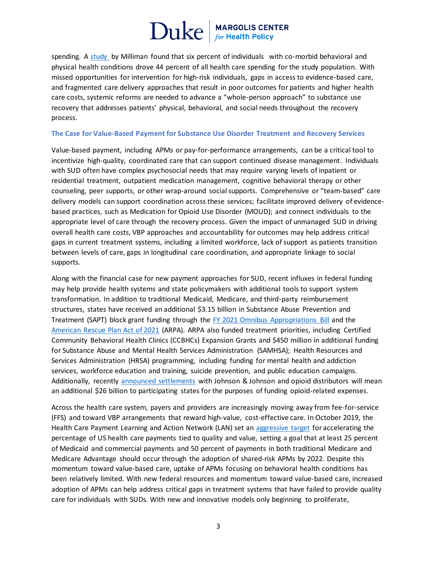spending. A [study](https://www.nationalalliancehealth.org/www/initiatives/initiatives-national/workplace-mental-health/pathforward/milliman-report) by Milliman found that six percent of individuals with co-morbid behavioral and physical health conditions drove 44 percent of all health care spending for the study population. With missed opportunities for intervention for high-risk individuals, gaps in access to evidence-based care, and fragmented care delivery approaches that result in poor outcomes for patients and higher health care costs, systemic reforms are needed to advance a "whole-person approach" to substance use recovery that addresses patients' physical, behavioral, and social needs throughout the recovery process.

#### **The Case for Value-Based Payment for Substance Use Disorder Treatment and Recovery Services**

Value-based payment, including APMs or pay-for-performance arrangements, can be a critical tool to incentivize high-quality, coordinated care that can support continued disease management. Individuals with SUD often have complex psychosocial needs that may require varying levels of inpatient or residential treatment, outpatient medication management, cognitive behavioral therapy or other counseling, peer supports, or other wrap-around social supports. Comprehensive or "team-based" care delivery models can support coordination across these services; facilitate improved delivery of evidencebased practices, such as Medication for Opioid Use Disorder (MOUD); and connect individuals to the appropriate level of care through the recovery process. Given the impact of unmanaged SUD in driving overall health care costs, VBP approaches and accountability for outcomes may help address critical gaps in current treatment systems, including a limited workforce, lack of support as patients transition between levels of care, gaps in longitudinal care coordination, and appropriate linkage to social supports.

Along with the financial case for new payment approaches for SUD, recent influxes in federal funding may help provide health systems and state policymakers with additional tools to support system transformation. In addition to traditional Medicaid, Medicare, and third-party reimbursement structures, states have received an additional \$3.15 billion in Substance Abuse Prevention and Treatment (SAPT) block grant funding through the [FY 2021 Omnibus Appropriations Bill](https://rules.house.gov/sites/democrats.rules.house.gov/files/BILLS-116HR133SA-RCP-116-68.pdf) and the [American Rescue Plan Act of 2021](https://www.congress.gov/117/bills/hr1319/BILLS-117hr1319enr.pdf) (ARPA). ARPA also funded treatment priorities, including Certified Community Behavioral Health Clinics (CCBHCs) Expansion Grants and \$450 million in additional funding for Substance Abuse and Mental Health Services Administration (SAMHSA); Health Resources and Services Administration (HRSA) programming, including funding for mental health and addiction services, workforce education and training, suicide prevention, and public education campaigns. Additionally, recently [announced settlements](https://www.jnj.com/johnson-johnson-reaches-opioid-settlement-agreement-with-new-york-state-consistent-with-terms-of-previously-announced-broader-settlement-agreement-in-principle) with Johnson & Johnson and opioid distributors will mean an additional \$26 billion to participating states for the purposes of funding opioid-related expenses.

Across the health care system, payers and providers are increasingly moving away from fee-for-service (FFS) and toward VBP arrangements that reward high-value, cost-effective care. In October 2019, the Health Care Payment Learning and Action Network (LAN) set an [aggressive target](https://innovation.cms.gov/innovation-models/health-care-payment-learning-and-action-network) for accelerating the percentage of US health care payments tied to quality and value, setting a goal that at least 25 percent of Medicaid and commercial payments and 50 percent of payments in both traditional Medicare and Medicare Advantage should occur through the adoption of shared-risk APMs by 2022. Despite this momentum toward value-based care, uptake of APMs focusing on behavioral health conditions has been relatively limited. With new federal resources and momentum toward value-based care, increased adoption of APMs can help address critical gaps in treatment systems that have failed to provide quality care for individuals with SUDs. With new and innovative models only beginning to proliferate,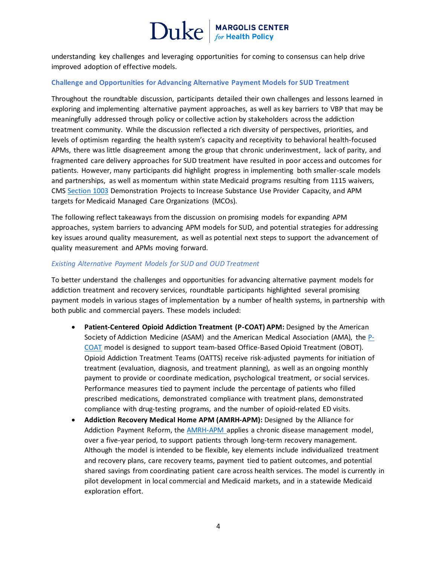understanding key challenges and leveraging opportunities for coming to consensus can help drive improved adoption of effective models.

#### **Challenge and Opportunities for Advancing Alternative Payment Models for SUD Treatment**

Throughout the roundtable discussion, participants detailed their own challenges and lessons learned in exploring and implementing alternative payment approaches, as well as key barriers to VBP that may be meaningfully addressed through policy or collective action by stakeholders across the addiction treatment community. While the discussion reflected a rich diversity of perspectives, priorities, and levels of optimism regarding the health system's capacity and receptivity to behavioral health-focused APMs, there was little disagreement among the group that chronic underinvestment, lack of parity, and fragmented care delivery approaches for SUD treatment have resulted in poor access and outcomes for patients. However, many participants did highlight progress in implementing both smaller-scale models and partnerships, as well as momentum within state Medicaid programs resulting from 1115 waivers, CMS [Section 1003](https://www.medicaid.gov/medicaid/benefits/behavioral-health-services/substance-use-disorder-prevention-promotes-opioid-recovery-and-treatment-for-patients-and-communities-support-act-section-1003/index.html) Demonstration Projects to Increase Substance Use Provider Capacity, and APM targets for Medicaid Managed Care Organizations (MCOs).

The following reflect takeaways from the discussion on promising models for expanding APM approaches, system barriers to advancing APM models for SUD, and potential strategies for addressing key issues around quality measurement, as well as potential next steps to support the advancement of quality measurement and APMs moving forward.

#### *Existing Alternative Payment Models for SUD and OUD Treatment*

To better understand the challenges and opportunities for advancing alternative payment models for addiction treatment and recovery services, roundtable participants highlighted several promising payment models in various stages of implementation by a number of health systems, in partnership with both public and commercial payers. These models included:

- Patient-Centered Opioid Addiction Treatment (P-COAT) APM: Designed by the American Society of Addiction Medicine (ASAM) and the American Medical Association (AMA), the [P-](https://www.asam.org/docs/default-source/advocacy/asam-ama-p-coat-final.pdf?sfvrsn=447041c2_2)[COAT](https://www.asam.org/docs/default-source/advocacy/asam-ama-p-coat-final.pdf?sfvrsn=447041c2_2) model is designed to support team-based Office-Based Opioid Treatment (OBOT). Opioid Addiction Treatment Teams (OATTS) receive risk-adjusted payments for initiation of treatment (evaluation, diagnosis, and treatment planning), as well as an ongoing monthly payment to provide or coordinate medication, psychological treatment, or social services. Performance measures tied to payment include the percentage of patients who filled prescribed medications, demonstrated compliance with treatment plans, demonstrated compliance with drug-testing programs, and the number of opioid-related ED visits.
- **Addiction Recovery Medical Home APM (AMRH-APM):** Designed by the Alliance for Addiction Payment Reform, the [AMRH-APM a](https://www.incentivizerecovery.org/)pplies a chronic disease management model, over a five-year period, to support patients through long-term recovery management. Although the model is intended to be flexible, key elements include individualized treatment and recovery plans, care recovery teams, payment tied to patient outcomes, and potential shared savings from coordinating patient care across health services. The model is currently in pilot development in local commercial and Medicaid markets, and in a statewide Medicaid exploration effort.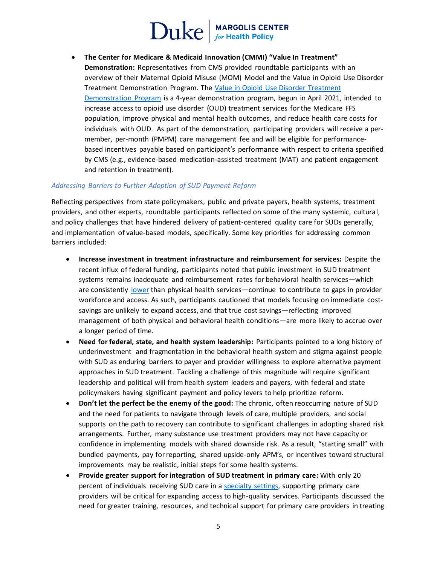## $\operatorname{Duke}|_{\scriptscriptstyle\text{for Health Policy}}$

• **The Center for Medicare & Medicaid Innovation (CMMI) "Value In Treatment" Demonstration:** Representatives from CMS provided roundtable participants with an overview of their Maternal Opioid Misuse (MOM) Model and the Value in Opioid Use Disorder Treatment Demonstration Program. The [Value in Opioid Use Disorder Treatment](https://innovation.cms.gov/innovation-models/value-in-treatment-demonstration)  [Demonstration Program](https://innovation.cms.gov/innovation-models/value-in-treatment-demonstration) is a 4-year demonstration program, begun in April 2021, intended to increase access to opioid use disorder (OUD) treatment services for the Medicare FFS population, improve physical and mental health outcomes, and reduce health care costs for individuals with OUD. As part of the demonstration, participating providers will receive a permember, per-month (PMPM) care management fee and will be eligible for performancebased incentives payable based on participant's performance with respect to criteria specified by CMS (e.g., evidence-based medication-assisted treatment (MAT) and patient engagement and retention in treatment).

#### *Addressing Barriers to Further Adoption of SUD Payment Reform*

Reflecting perspectives from state policymakers, public and private payers, health systems, treatment providers, and other experts, roundtable participants reflected on some of the many systemic, cultural, and policy challenges that have hindered delivery of patient-centered quality care for SUDs generally, and implementation of value-based models, specifically. Some key priorities for addressing common barriers included:

- **Increase investment in treatment infrastructure and reimbursement for services:** Despite the recent influx of federal funding, participants noted that public investment in SUD treatment systems remains inadequate and reimbursement rates for behavioral health services—which are consistently [lower](https://www.google.com/search?q=SUD+reimbursement+rates+too+low&rlz=1C1GCEB_enUS923US923&oq=SUD+reimbursement+rates+too+low&aqs=chrome..69i57j33i299.3833j1j7&sourceid=chrome&ie=UTF-8) than physical health services—continue to contribute to gaps in provider workforce and access. As such, participants cautioned that models focusing on immediate costsavings are unlikely to expand access, and that true cost savings—reflecting improved management of both physical and behavioral health conditions—are more likely to accrue over a longer period of time.
- **Need for federal, state, and health system leadership:** Participants pointed to a long history of underinvestment and fragmentation in the behavioral health system and stigma against people with SUD as enduring barriers to payer and provider willingness to explore alternative payment approaches in SUD treatment. Tackling a challenge of this magnitude will require significant leadership and political will from health system leaders and payers, with federal and state policymakers having significant payment and policy levers to help prioritize reform.
- **Don't let the perfect be the enemy of the good:** The chronic, often reoccurring nature of SUD and the need for patients to navigate through levels of care, multiple providers, and social supports on the path to recovery can contribute to significant challenges in adopting shared risk arrangements. Further, many substance use treatment providers may not have capacity or confidence in implementing models with shared downside risk. As a result, "starting small" with bundled payments, pay for reporting, shared upside-only APM's, or incentives toward structural improvements may be realistic, initial steps for some health systems.
- **Provide greater support for integration of SUD treatment in primary care:** With only 20 percent of individuals receiving SUD care in a [specialty settings](https://pubmed.ncbi.nlm.nih.gov/16816223/), supporting primary care providers will be critical for expanding access to high-quality services. Participants discussed the need for greater training, resources, and technical support for primary care providers in treating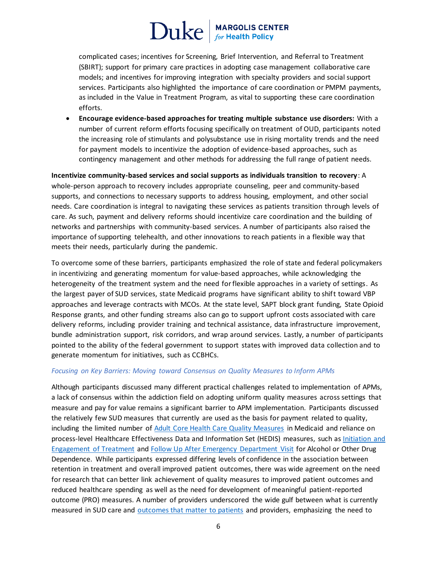# $\operatorname{Duke}|_{\scriptscriptstyle\text{for Health Policy}}$

complicated cases; incentives for Screening, Brief Intervention, and Referral to Treatment (SBIRT); support for primary care practices in adopting case management collaborative care models; and incentives for improving integration with specialty providers and social support services. Participants also highlighted the importance of care coordination or PMPM payments, as included in the Value in Treatment Program, as vital to supporting these care coordination efforts.

• **Encourage evidence-based approaches for treating multiple substance use disorders:** With a number of current reform efforts focusing specifically on treatment of OUD, participants noted the increasing role of stimulants and polysubstance use in rising mortality trends and the need for payment models to incentivize the adoption of evidence-based approaches, such as contingency management and other methods for addressing the full range of patient needs.

**Incentivize community-based services and social supports as individuals transition to recovery**: A whole-person approach to recovery includes appropriate counseling, peer and community-based supports, and connections to necessary supports to address housing, employment, and other social needs. Care coordination is integral to navigating these services as patients transition through levels of care. As such, payment and delivery reforms should incentivize care coordination and the building of networks and partnerships with community-based services. A number of participants also raised the importance of supporting telehealth, and other innovations to reach patients in a flexible way that meets their needs, particularly during the pandemic.

To overcome some of these barriers, participants emphasized the role of state and federal policymakers in incentivizing and generating momentum for value-based approaches, while acknowledging the heterogeneity of the treatment system and the need for flexible approaches in a variety of settings. As the largest payer of SUD services, state Medicaid programs have significant ability to shift toward VBP approaches and leverage contracts with MCOs. At the state level, SAPT block grant funding, State Opioid Response grants, and other funding streams also can go to support upfront costs associated with care delivery reforms, including provider training and technical assistance, data infrastructure improvement, bundle administration support, risk corridors, and wrap around services. Lastly, a number of participants pointed to the ability of the federal government to support states with improved data collection and to generate momentum for initiatives, such as CCBHCs.

### *Focusing on Key Barriers: Moving toward Consensus on Quality Measures to Inform APMs*

Although participants discussed many different practical challenges related to implementation of APMs, a lack of consensus within the addiction field on adopting uniform quality measures across settings that measure and pay for value remains a significant barrier to APM implementation. Participants discussed the relatively few SUD measures that currently are used as the basis for payment related to quality, including the limited number of [Adult Core Health Care Quality Measures](https://www.medicaid.gov/medicaid/quality-of-care/downloads/2021-adult-core-set.pdf) in Medicaid and reliance on process-level Healthcare Effectiveness Data and Information Set (HEDIS) measures, such a[s Initiation and](https://www.ncqa.org/hedis/measures/initiation-and-engagement-of-alcohol-and-other-drug-abuse-or-dependence-treatment/)  [Engagement of Treatment](https://www.ncqa.org/hedis/measures/initiation-and-engagement-of-alcohol-and-other-drug-abuse-or-dependence-treatment/) and [Follow Up After Emergency Department Visit](https://www.ncqa.org/hedis/measures/initiation-and-engagement-of-alcohol-and-other-drug-abuse-or-dependence-treatment/) for Alcohol or Other Drug Dependence. While participants expressed differing levels of confidence in the association between retention in treatment and overall improved patient outcomes, there was wide agreement on the need for research that can better link achievement of quality measures to improved patient outcomes and reduced healthcare spending as well as the need for development of meaningful patient-reported outcome (PRO) measures. A number of providers underscored the wide gulf between what is currently measured in SUD care and [outcomes that matter to patients](https://www.communitycatalyst.org/resources/tools/peers-speak-out/pdf/Peers-Speak-Out.pdf) and providers, emphasizing the need to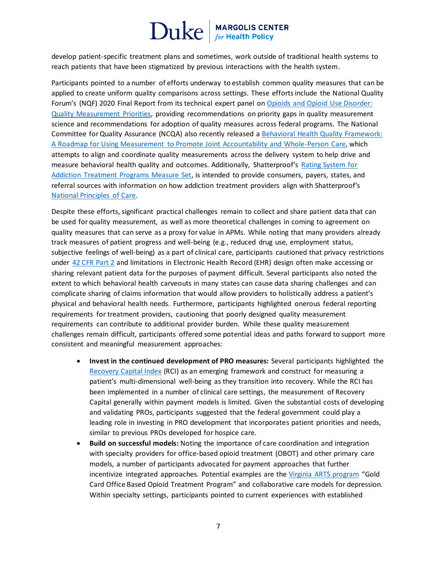develop patient-specific treatment plans and sometimes, work outside of traditional health systems to reach patients that have been stigmatized by previous interactions with the health system.

Participants pointed to a number of efforts underway to establish common quality measures that can be applied to create uniform quality comparisons across settings. These efforts include the National Quality Forum's (NQF) 2020 Final Report from its technical expert panel on [Opioids and Opioid Use Disorder:](https://www.qualityforum.org/Publications/2020/02/Opioids_and_Opioid_Use_Disorder__Quality_Measurement_Priorities.aspx)  [Quality Measurement Priorities,](https://www.qualityforum.org/Publications/2020/02/Opioids_and_Opioid_Use_Disorder__Quality_Measurement_Priorities.aspx) providing recommendations on priority gaps in quality measurement science and recommendations for adoption of quality measures across federal programs. The National Committee for Quality Assurance (NCQA) also recently released [a Behavioral Health Quality Framework:](https://www.ncqa.org/wp-content/uploads/2021/07/20210701_Behavioral_Health_Quality_Framework_NCQA_White_Paper.pdf)  [A Roadmap for Using Measurement to Promote Joint Accountability and Whole-Person Care,](https://www.ncqa.org/wp-content/uploads/2021/07/20210701_Behavioral_Health_Quality_Framework_NCQA_White_Paper.pdf) which attempts to align and coordinate quality measurements across the delivery system to help drive and measure behavioral health quality and outcomes. Additionally, Shatterproof's Rating System for [Addiction Treatment Programs Measure Set,](https://www.qualityforum.org/Projects/s-z/Shatterproof/Shatterproof_Rating_System_for_Addiction_Treatment_Programs_Measure_Set.aspx) is intended to provide consumers, payers, states, and referral sources with information on how addiction treatment providers align with Shatterproof's [National Principles of Care.](https://www.shatterproof.org/shatterproof-national-principles-care)

Despite these efforts, significant practical challenges remain to collect and share patient data that can be used for quality measurement, as well as more theoretical challenges in coming to agreement on quality measures that can serve as a proxy for value in APMs. While noting that many providers already track measures of patient progress and well-being (e.g., reduced drug use, employment status, subjective feelings of well-being) as a part of clinical care, participants cautioned that privacy restrictions under [42 CFR Part 2](https://www.ecfr.gov/cgi-bin/text-idx?rgn=div5;node=42%3A1.0.1.1.2) and limitations in Electronic Health Record (EHR) design often make accessing or sharing relevant patient data for the purposes of payment difficult. Several participants also noted the extent to which behavioral health carveouts in many states can cause data sharing challenges and can complicate sharing of claims information that would allow providers to holistically address a patient's physical and behavioral health needs. Furthermore, participants highlighted onerous federal reporting requirements for treatment providers, cautioning that poorly designed quality measurement requirements can contribute to additional provider burden. While these quality measurement challenges remain difficult, participants offered some potential ideas and paths forward to support more consistent and meaningful measurement approaches:

- **Invest in the continued development of PRO measures:** Several participants highlighted the [Recovery Capital Index](https://www.recoverycapital.io/) (RCI) as an emerging framework and construct for measuring a patient's multi-dimensional well-being as they transition into recovery. While the RCI has been implemented in a number of clinical care settings, the measurement of Recovery Capital generally within payment models is limited. Given the substantial costs of developing and validating PROs, participants suggested that the federal government could play a leading role in investing in PRO development that incorporates patient priorities and needs, similar to previous PROs developed for hospice care.
- **Build on successful models:** Noting the importance of care coordination and integration with specialty providers for office-based opioid treatment (OBOT) and other primary care models, a number of participants advocated for payment approaches that further incentivize integrated approaches. Potential examples are the [Virginia ARTS program](https://www.evms.edu/media/evms_public/departments/brock/OBOT-Providers-for-Medicaid-ARTS-Program.pdf) "Gold Card Office Based Opioid Treatment Program" and collaborative care models for depression. Within specialty settings, participants pointed to current experiences with established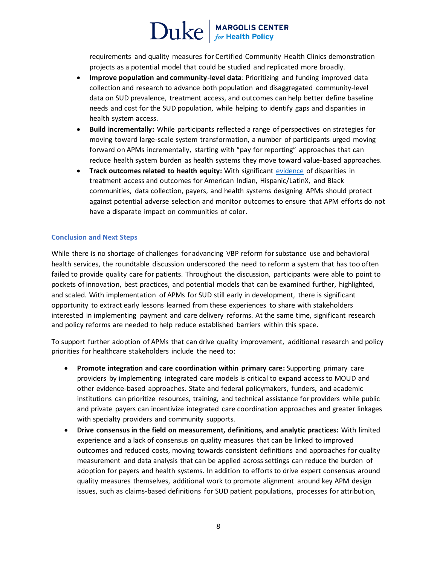requirements and quality measures for Certified Community Health Clinics demonstration projects as a potential model that could be studied and replicated more broadly.

- **Improve population and community-level data**: Prioritizing and funding improved data collection and research to advance both population and disaggregated community-level data on SUD prevalence, treatment access, and outcomes can help better define baseline needs and cost for the SUD population, while helping to identify gaps and disparities in health system access.
- **Build incrementally:** While participants reflected a range of perspectives on strategies for moving toward large-scale system transformation, a number of participants urged moving forward on APMs incrementally, starting with "pay for reporting" approaches that can reduce health system burden as health systems they move toward value-based approaches.
- **Track outcomes related to health equity:** With significant [evidence](https://www.ncbi.nlm.nih.gov/pmc/articles/PMC6087681/) of disparities in treatment access and outcomes for American Indian, Hispanic/LatinX, and Black communities, data collection, payers, and health systems designing APMs should protect against potential adverse selection and monitor outcomes to ensure that APM efforts do not have a disparate impact on communities of color.

### **Conclusion and Next Steps**

While there is no shortage of challenges for advancing VBP reform for substance use and behavioral health services, the roundtable discussion underscored the need to reform a system that has too often failed to provide quality care for patients. Throughout the discussion, participants were able to point to pockets of innovation, best practices, and potential models that can be examined further, highlighted, and scaled. With implementation of APMs for SUD still early in development, there is significant opportunity to extract early lessons learned from these experiences to share with stakeholders interested in implementing payment and care delivery reforms. At the same time, significant research and policy reforms are needed to help reduce established barriers within this space.

To support further adoption of APMs that can drive quality improvement, additional research and policy priorities for healthcare stakeholders include the need to:

- **Promote integration and care coordination within primary care:** Supporting primary care providers by implementing integrated care models is critical to expand access to MOUD and other evidence-based approaches. State and federal policymakers, funders, and academic institutions can prioritize resources, training, and technical assistance for providers while public and private payers can incentivize integrated care coordination approaches and greater linkages with specialty providers and community supports.
- **Drive consensus in the field on measurement, definitions, and analytic practices:** With limited experience and a lack of consensus on quality measures that can be linked to improved outcomes and reduced costs, moving towards consistent definitions and approaches for quality measurement and data analysis that can be applied across settings can reduce the burden of adoption for payers and health systems. In addition to efforts to drive expert consensus around quality measures themselves, additional work to promote alignment around key APM design issues, such as claims-based definitions for SUD patient populations, processes for attribution,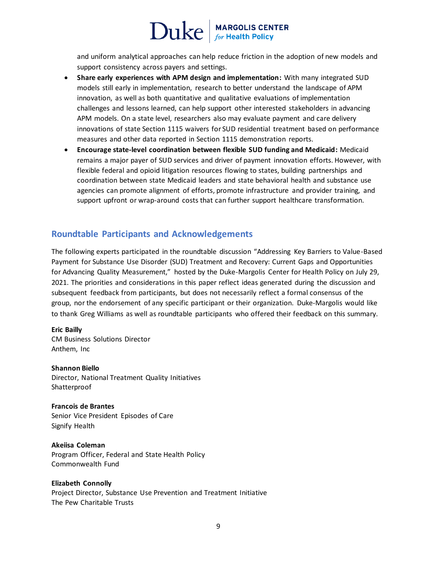and uniform analytical approaches can help reduce friction in the adoption of new models and support consistency across payers and settings.

- **Share early experiences with APM design and implementation:** With many integrated SUD models still early in implementation, research to better understand the landscape of APM innovation, as well as both quantitative and qualitative evaluations of implementation challenges and lessons learned, can help support other interested stakeholders in advancing APM models. On a state level, researchers also may evaluate payment and care delivery innovations of state Section 1115 waivers for SUD residential treatment based on performance measures and other data reported in Section 1115 demonstration reports.
- **Encourage state-level coordination between flexible SUD funding and Medicaid:** Medicaid remains a major payer of SUD services and driver of payment innovation efforts. However, with flexible federal and opioid litigation resources flowing to states, building partnerships and coordination between state Medicaid leaders and state behavioral health and substance use agencies can promote alignment of efforts, promote infrastructure and provider training, and support upfront or wrap-around costs that can further support healthcare transformation.

### **Roundtable Participants and Acknowledgements**

The following experts participated in the roundtable discussion "Addressing Key Barriers to Value-Based Payment for Substance Use Disorder (SUD) Treatment and Recovery: Current Gaps and Opportunities for Advancing Quality Measurement," hosted by the Duke-Margolis Center for Health Policy on July 29, 2021. The priorities and considerations in this paper reflect ideas generated during the discussion and subsequent feedback from participants, but does not necessarily reflect a formal consensus of the group, nor the endorsement of any specific participant or their organization. Duke-Margolis would like to thank Greg Williams as well as roundtable participants who offered their feedback on this summary.

### **Eric Bailly**

CM Business Solutions Director Anthem, Inc

**Shannon Biello** Director, National Treatment Quality Initiatives Shatterproof

**Francois de Brantes** Senior Vice President Episodes of Care Signify Health

**Akeiisa Coleman** Program Officer, Federal and State Health Policy Commonwealth Fund

### **Elizabeth Connolly**

Project Director, Substance Use Prevention and Treatment Initiative The Pew Charitable Trusts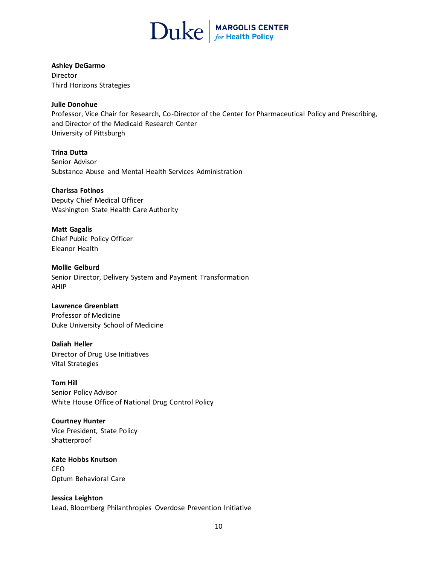

#### **Ashley DeGarmo**

Director Third Horizons Strategies

#### **Julie Donohue**

Professor, Vice Chair for Research, Co-Director of the Center for Pharmaceutical Policy and Prescribing, and Director of the Medicaid Research Center University of Pittsburgh

**Trina Dutta** Senior Advisor Substance Abuse and Mental Health Services Administration

### **Charissa Fotinos**

Deputy Chief Medical Officer Washington State Health Care Authority

**Matt Gagalis** Chief Public Policy Officer Eleanor Health

**Mollie Gelburd**

Senior Director, Delivery System and Payment Transformation AHIP

### **Lawrence Greenblatt**

Professor of Medicine Duke University School of Medicine

**Daliah Heller** Director of Drug Use Initiatives Vital Strategies

**Tom Hill** Senior Policy Advisor White House Office of National Drug Control Policy

### **Courtney Hunter**

Vice President, State Policy Shatterproof

**Kate Hobbs Knutson** CEO Optum Behavioral Care

**Jessica Leighton** Lead, Bloomberg Philanthropies Overdose Prevention Initiative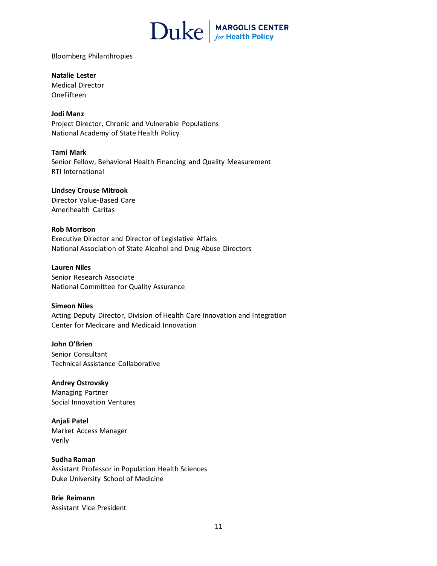

Bloomberg Philanthropies

**Natalie Lester** Medical Director OneFifteen

**Jodi Manz** Project Director, Chronic and Vulnerable Populations National Academy of State Health Policy

**Tami Mark** Senior Fellow, Behavioral Health Financing and Quality Measurement RTI International

**Lindsey Crouse Mitrook** Director Value-Based Care Amerihealth Caritas

### **Rob Morrison** Executive Director and Director of Legislative Affairs National Association of State Alcohol and Drug Abuse Directors

**Lauren Niles** Senior Research Associate National Committee for Quality Assurance

**Simeon Niles** Acting Deputy Director, Division of Health Care Innovation and Integration Center for Medicare and Medicaid Innovation

**John O'Brien** Senior Consultant Technical Assistance Collaborative

**Andrey Ostrovsky** Managing Partner Social Innovation Ventures

**Anjali Patel** Market Access Manager Verily

**Sudha Raman** Assistant Professor in Population Health Sciences Duke University School of Medicine

**Brie Reimann** Assistant Vice President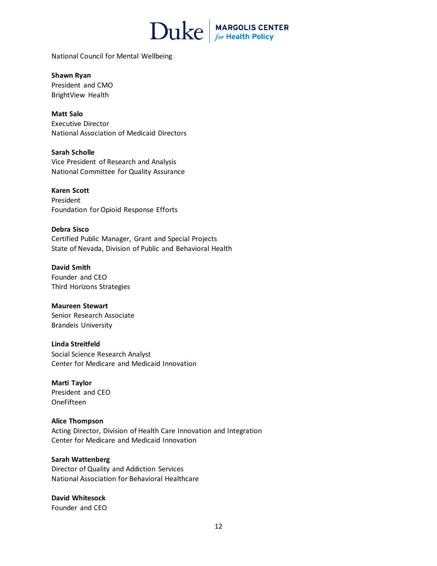

National Council for Mental Wellbeing

**Shawn Ryan** President and CMO BrightView Health

**Matt Salo** Executive Director National Association of Medicaid Directors

**Sarah Scholle** Vice President of Research and Analysis National Committee for Quality Assurance

**Karen Scott** President Foundation for Opioid Response Efforts

**Debra Sisco** Certified Public Manager, Grant and Special Projects State of Nevada, Division of Public and Behavioral Health

**David Smith**  Founder and CEO Third Horizons Strategies

**Maureen Stewart** Senior Research Associate Brandeis University

**Linda Streitfeld** Social Science Research Analyst Center for Medicare and Medicaid Innovation

**Marti Taylor** President and CEO OneFifteen

**Alice Thompson** Acting Director, Division of Health Care Innovation and Integration Center for Medicare and Medicaid Innovation

**Sarah Wattenberg** Director of Quality and Addiction Services National Association for Behavioral Healthcare

**David Whitesock** Founder and CEO